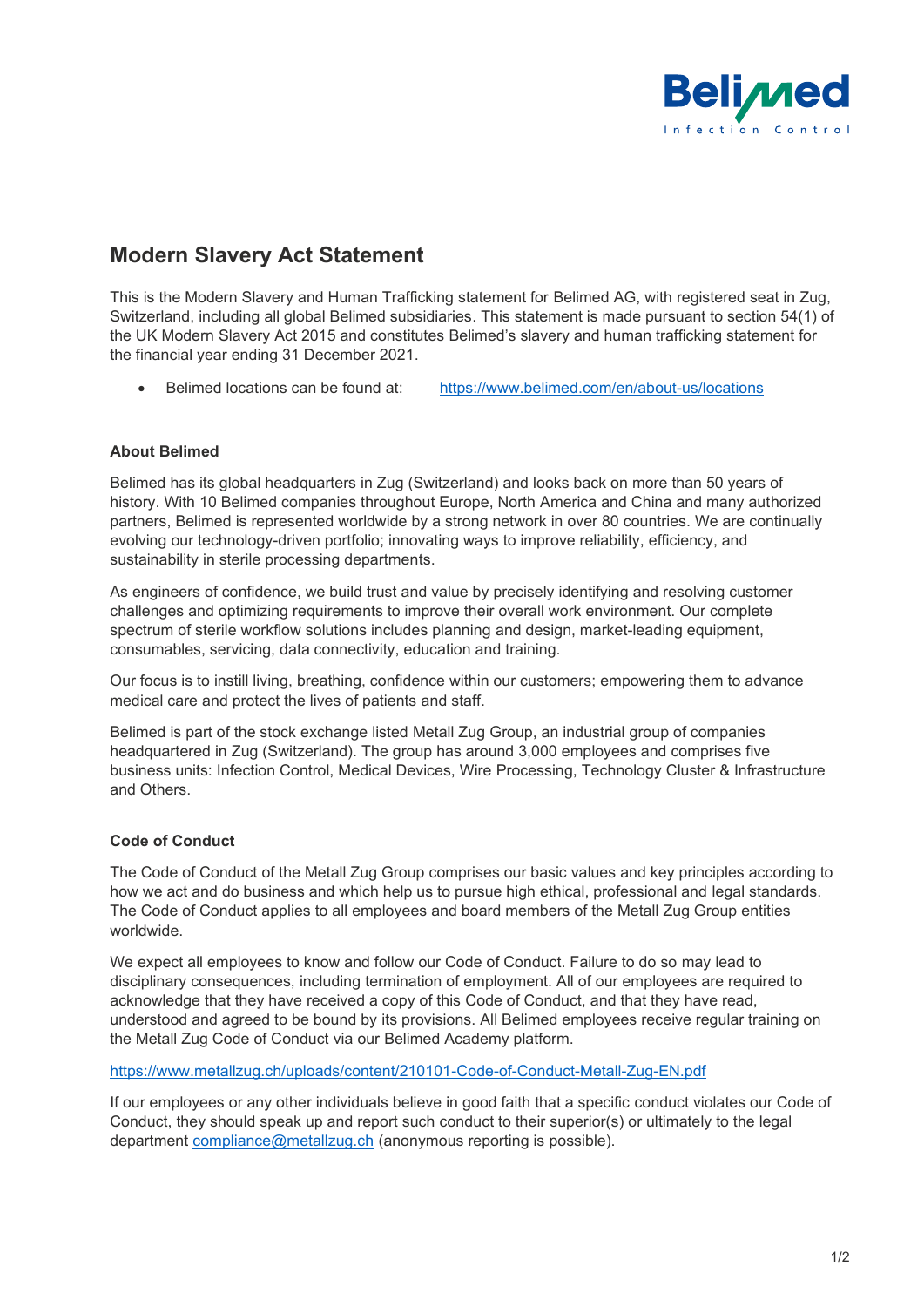

# **Modern Slavery Act Statement**

This is the Modern Slavery and Human Trafficking statement for Belimed AG, with registered seat in Zug, Switzerland, including all global Belimed subsidiaries. This statement is made pursuant to section 54(1) of the UK Modern Slavery Act 2015 and constitutes Belimed's slavery and human trafficking statement for the financial year ending 31 December 2021.

• Belimed locations can be found at: <https://www.belimed.com/en/about-us/locations>

## **About Belimed**

Belimed has its global headquarters in Zug (Switzerland) and looks back on more than 50 years of history. With 10 Belimed companies throughout Europe, North America and China and many authorized partners, Belimed is represented worldwide by a strong network in over 80 countries. We are continually evolving our technology-driven portfolio; innovating ways to improve reliability, efficiency, and sustainability in sterile processing departments.

As engineers of confidence, we build trust and value by precisely identifying and resolving customer challenges and optimizing requirements to improve their overall work environment. Our complete spectrum of sterile workflow solutions includes planning and design, market-leading equipment, consumables, servicing, data connectivity, education and training.

Our focus is to instill living, breathing, confidence within our customers; empowering them to advance medical care and protect the lives of patients and staff.

Belimed is part of the stock exchange listed Metall Zug Group, an industrial group of companies headquartered in Zug (Switzerland). The group has around 3,000 employees and comprises five business units: Infection Control, Medical Devices, Wire Processing, Technology Cluster & Infrastructure and Others.

### **Code of Conduct**

The Code of Conduct of the Metall Zug Group comprises our basic values and key principles according to how we act and do business and which help us to pursue high ethical, professional and legal standards. The Code of Conduct applies to all employees and board members of the Metall Zug Group entities worldwide.

We expect all employees to know and follow our Code of Conduct. Failure to do so may lead to disciplinary consequences, including termination of employment. All of our employees are required to acknowledge that they have received a copy of this Code of Conduct, and that they have read, understood and agreed to be bound by its provisions. All Belimed employees receive regular training on the Metall Zug Code of Conduct via our Belimed Academy platform.

### <https://www.metallzug.ch/uploads/content/210101-Code-of-Conduct-Metall-Zug-EN.pdf>

If our employees or any other individuals believe in good faith that a specific conduct violates our Code of Conduct, they should speak up and report such conduct to their superior(s) or ultimately to the legal department [compliance@metallzug.ch](mailto:compliance@metallzug.ch) (anonymous reporting is possible).